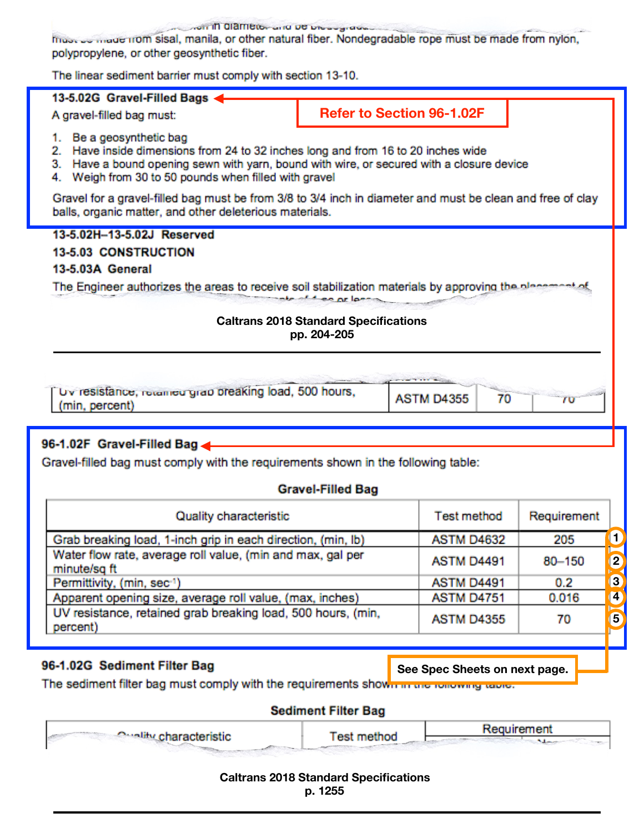**OF IT CIRENCE LINE OF DISCUSSION** 

must be made from sisal, manila, or other natural fiber. Nondegradable rope must be made from nylon, polypropylene, or other geosynthetic fiber.

The linear sediment barrier must comply with section 13-10.

#### 13-5.02G Gravel-Filled Bags

A gravel-filled bag must:

**Refer to Section 96-1.02F** 

- 1. Be a geosynthetic bag
- 2. Have inside dimensions from 24 to 32 inches long and from 16 to 20 inches wide
- 3. Have a bound opening sewn with yarn, bound with wire, or secured with a closure device
- 4. Weigh from 30 to 50 pounds when filled with gravel

Gravel for a gravel-filled bag must be from 3/8 to 3/4 inch in diameter and must be clean and free of clay balls, organic matter, and other deleterious materials.

13-5.02H-13-5.02J Reserved **13-5.03 CONSTRUCTION** 13-5.03A General The Engineer authorizes the areas to receive soil stabilization materials by approving the place to the other arises

#### **Caltrans 2018 Standard Specifications** pp. 204-205

| Uv resistance, retained grap breaking load, 500 hours,<br>(min, percent) | <b>ASTM D4355</b> |  |
|--------------------------------------------------------------------------|-------------------|--|

# 96-1.02F Gravel-Filled Bag

Gravel-filled bag must comply with the requirements shown in the following table:

### **Gravel-Filled Bag**

| Quality characteristic                                                     | <b>Test method</b> | Requirement |    |
|----------------------------------------------------------------------------|--------------------|-------------|----|
| Grab breaking load, 1-inch grip in each direction, (min, lb)               | <b>ASTM D4632</b>  | 205         |    |
| Water flow rate, average roll value, (min and max, gal per<br>minute/sq ft | ASTM D4491         | 80-150      | 2  |
| Permittivity, (min, sec-1)                                                 | ASTM D4491         | 0.2         | 13 |
| Apparent opening size, average roll value, (max, inches)                   | <b>ASTM D4751</b>  | 0.016       | 14 |
| UV resistance, retained grab breaking load, 500 hours, (min,<br>percent)   | <b>ASTM D4355</b>  | 70          | 5  |

# 96-1.02G Sediment Filter Bag

See Spec Sheets on next page.

The sediment filter bag must comply with the requirements shown in the rollowing table.

### **Sediment Filter Bag**

| <b>Constitucharacteristic</b> | Test method | Requirement |
|-------------------------------|-------------|-------------|
|                               |             |             |

#### **Caltrans 2018 Standard Specifications** p. 1255